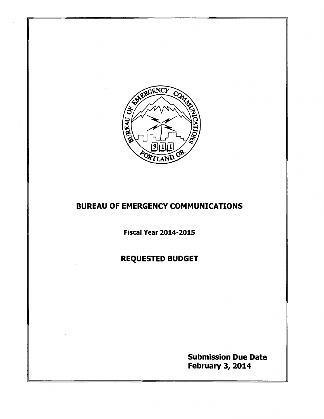

# BUREAU OF EMERGENCY COMMUNICATIONS

Fiscal Year 2014-2015

REQUESTED BUDGET

Submission Due Date February 3, 2014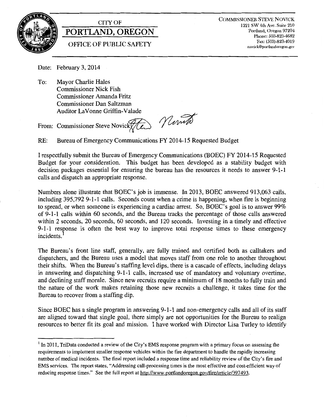

# CITY OF **PORTlAND, OREGON**

COMMISSIONER STEVE NOVICK 1221 SW 4th Ave. Suite 210 Portland, Oregon 97204 Phone: 503-823-4682 Fax: (503)-823-4019 novick@portlandoregon.gov

OFFICE OF PUBLIC SAFETY

Date: February 3, 2014

To: Mayor Charlie Hales Commissioner Nick Fish Commissioner Amanda Fritz Commissioner Dan Saltzman Auditor La Vonne Griffin-Valade

From: Commissioner Steve Novick (Tel) Vlamb

RE: Bureau of Emergency Communications FY 2014-15 Requested Budget

I respectfully submit the Bureau of Emergency Communications (BOEC) FY 2014-15 Requested Budget for your consideration. This budget has been developed as a stability budget with decision packages essential for ensuring the bureau has the resources it needs to answer 9-1-1 calls and dispatch an appropriate response.

Numbers alone illustrate that BOEC's job is immense. In 2013, BOEC answered 913,063 calls, including 395,792 9-1-1 calls. Seconds count when a crime is happening, when fire is beginning to spread, or when someone is experiencing a cardiac arrest. So, BOEC's goal is to answer 99% of 9-1-1 calls within 60 seconds, and the Bureau tracks the percentage of those calls answered within 2 seconds, 20 seconds, 60 seconds, and 120 seconds. Investing in a timely and effective 9-1-1 response is often the best way to improve total response times to these emergency incidents.

The Bureau's front line staff, generally, are fully trained and certified both as calltakers and dispatchers, and the Bureau uses a model that moves staff from one role to another throughout their shifts. When the Bureau's staffing level dips, there is a cascade of effects, including delays in answering and dispatching 9-1-1 calls, increased use of mandatory and voluntary overtime, and declining staff morale. Since new recruits require a minimum of 18 months to fully train and the nature of the work makes retaining those new recruits a challenge, it takes time for the Bureau to recover from a staffing dip.

Since BOEC has a single program in answering 9-1-1 and non-emergency calls and all of its staff are aligned toward that single goal, there simply are not opportunities for the Bureau to realign resources to better fit its goal and mission. I have worked with Director Lisa Turley to identify

 $<sup>1</sup>$  In 2011, TriData conducted a review of the City's EMS response program with a primary focus on assessing the</sup> requirements to implement smaller response vehicles within the fire department to handle the rapidly increasing number of medical incidents. The final report included a response time and reliability review of the City's fire and EMS services. The report states, "Addressing call-processing times is the most effective and cost-efficient way of reducing response times." See the full report at http://www.portlandoregon.gov/fire/article/397493.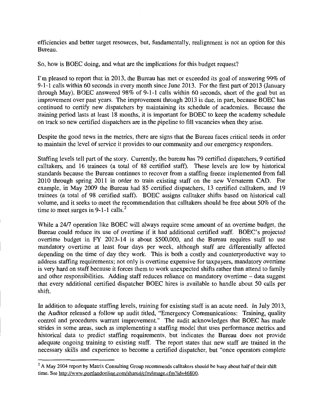efficiencies and better target resources, but, fundamentally, realignment is not an option for this Bureau.

So, how is BOEC doing, and what are the implications for this budget request?

I'm pleased to report that in 2013, the Bureau has met or exceeded its goal of answering 99% of 9-1-1 calls within 60 seconds in every month since June 2013. For the first part of 2013 (January through May), BOEC answered 98% of 9-1-1 calls within 60 seconds, short of the goal but an improvement over past years. The improvement through 2013 is due, in part, because BOEC has continued to certify new dispatchers by maintaining its schedule of academies. Because the training period lasts at least 18 months, it is important for BOEC to keep the academy schedule on track so new certified dispatchers are in the pipeline to fill vacancies when they arise.

Despite the good news in the metrics, there are signs that the Bureau faces critical needs in order to maintain the level of service it provides to our community and our emergency responders.

Staffing levels tell part of the story. Currently, the bureau has 79 certified dispatchers, 9 certified calltakers, and 16 trainees (a total of 88 certified staff). These levels are low by historical standards because the Bureau continues to recover from a staffing freeze implemented from fall 2010 through spring 2011 in order to train existing staff on the new Versaterm CAD. For example, in May 2009 the Bureau had 85 certified dispatchers, 13 certified calltakers, and 19 trainees (a total of 98 certified staff). BOEC assigns calltaker shifts based on historical call volume, and it seeks to meet the recommendation that calltakers should be free about 50% of the time to meet surges in 9-1-1 calls. $<sup>2</sup>$ </sup>

While a 24/7 operation like BOEC will always require some amount of an overtime budget, the Bureau could reduce its use of overtime if it had additional certified staff. BOEC's projected overtime budget in FY 2013-14 is about \$500,000, and the Bureau requires staff to use mandatory overtime at least four days per week, although staff are differentially affected depending on the time of day they work. This is both a costly and counterproductive way to address staffing requirements; not only is overtime expensive for taxpayers, mandatory overtime is very hard on staff because it forces them to work unexpected shifts rather than attend to family and other responsibilities. Adding staff reduces reliance on mandatory overtime - data suggest that every additional certified dispatcher BOEC hires is available to handle about 50 calls per shift.

In addition to adequate staffing levels, training for existing staff is an acute need. In July 2013, the Auditor released a follow up audit titled, "Emergency Communications: Training, quality control and procedures warrant improvement." The audit acknowledges that BOEC has made strides in some areas, such as implementing a staffing model that uses performance metrics and historical data to predict staffing requirements, but indicates the Bureau does not provide adequate ongoing training to existing staff. The report states that new staff are trained in the necessary skills and experience to become a certified dispatcher, but "once operators complete

<sup>&</sup>lt;sup>2</sup> A May 2004 report by Matrix Consulting Group recommends call takers should be busy about half of their shift time. See http://www.portlandonline.com/shared/cfm/image.cfm?id=46800.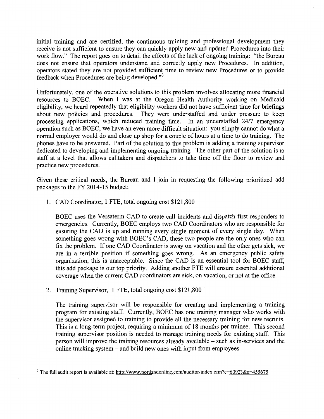initial training and are certified, the continuous training and professional development they receive is not sufficient to ensure they can quickly apply new and updated Procedures into their work flow." The report goes on to detail the effects of the lack of ongoing training: "the Bureau does not ensure that operators understand and correctly apply new Procedures. In addition, operators stated they are not provided sufficient time to review new Procedures or to provide feedback when Procedures are being developed."<sup>3</sup>

Unfortunately, one of the operative solutions to this problem involves allocating more financial resources to BOEC. When I was at the Oregon Health Authority working on Medicaid eligibility, we heard repeatedly that eligibility workers did not have sufficient time for briefings about new policies and procedures. They were understaffed and under pressure to keep processing applications, which reduced training time. In an understaffed 24/7 emergency operation such as BOEC, we have an even more difficult situation: you simply cannot do what a normal employer would do and close up shop for a couple of hours at a time to do training. The phones have to be answered. Part of the solution to this problem is adding a training supervisor dedicated to developing and implementing ongoing training. The other part of the solution is to staff at a level that allows calltakers and dispatchers to take time off the floor to review and practice new procedures.

Given these critical needs, the Bureau and I join in requesting the following prioritized add packages to the FY 2014-15 budget:

1. CAD Coordinator, 1 FTE, total ongoing cost \$121,800

BOEC uses the Versaterm CAD to create call incidents and dispatch first responders to emergencies. Currently, BOEC employs two CAD Coordinators who are responsible for ensuring the CAD is up and running every single moment of every single day. When something goes wrong with BOEC's CAD, these two people are the only ones who can fix the problem. If one CAD Coordinator is away on vacation and the other gets sick, we are in a terrible position if something goes wrong. As an emergency public safety organization, this is unacceptable. Since the CAD is an essential tool for BOEC staff, this add package is our top priority. Adding another FTE will ensure essential additional coverage when the current CAD coordinators are sick, on vacation, or not at the office.

2. Training Supervisor, 1 FTE, total ongoing cost \$121,800

The training supervisor will be responsible for creating and implementing a training program for existing staff. Currently, BOEC has one training manager who works with the supervisor assigned to training to provide all the necessary training for new recruits. This is a long-term project, requiring a minimum of 18 months per trainee. This second training supervisor position is needed to manage training needs for existing staff. This person will improve the training resources already available - such as in-services and the online tracking system - and build new ones with input from employees.

<sup>&</sup>lt;sup>3</sup> The full audit report is available at: http://www.portlandonline.com/auditor/index.cfm?c=60923&a=455675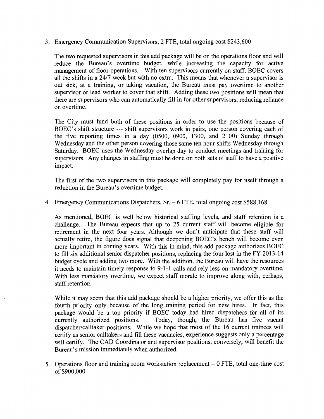3. Emergency Communication Supervisors, 2 FTE, total ongoing cost \$243,600

The two requested supervisors in this add package will be on the operations floor and will reduce the Bureau's overtime budget, while increasing the capacity for active management of floor operations. With ten supervisors currently on staff, BOEC covers all the shifts in a 24/7 week but with no extra. This means that whenever a supervisor is out sick, at a training, or taking vacation, the Bureau must pay overtime to another supervisor or lead worker to cover that shift. Adding these two positions will mean that there are supervisors who can automatically fill in for other supervisors, reducing reliance on overtime.

The City must fund both of these positions in order to use the positions because of BOEC's shift structure --- shift supervisors work in pairs, one person covering each of the five reporting times in a day  $(0500, 0900, 1300, 1300)$  Sunday through Wednesday and the other person covering those same ten hour shifts Wednesday through Saturday. BOEC uses the Wednesday overlap day to conduct meetings and training for supervisors. Any changes in staffing must be done on both sets of staff to have a positive impact.

The first of the two supervisors in this package will completely pay for itself through a reduction in the Bureau's overtime budget.

4. Emergency Communications Dispatchers, Sr.- 6 FTE, total ongoing cost \$588,168

As mentioned, BOEC is well below historical staffing levels, and staff retention is a challenge. The Bureau expects that up to 25 current staff will become eligible for retirement in the next four years. Although we don't anticipate that these staff will actually retire, the figure does signal that deepening BOEC's bench will become even more important in coming years. With this in mind, this add package authorizes BOEC to fill six additional senior dispatcher positions, replacing the four lost in the FY 2013-14 budget cycle and adding two more. With the addition, the Bureau will have the resources it needs to maintain timely response to 9-1-1 calls and rely less on mandatory overtime. With less mandatory overtime, we expect staff morale to improve along with, perhaps, staff retention.

While it may seem that this add package should be a higher priority, we offer this as the fourth priority only because of the long training period for new hires. In fact, this package would be a top priority if BOEC today had hired dispatchers for all of its currently authorized positions. Today, though, the Bureau has five vacant dispatcher/calltaker positions. While we hope that most of the 16 current trainees will certify as senior calltakers and fill these vacancies, experience suggests only a percentage will certify. The CAD Coordinator and supervisor positions, conversely, will benefit the Bureau's mission immediately when authorized.

5. Operations floor and training room workstation replacement – 0 FTE, total one-time cost of\$900,000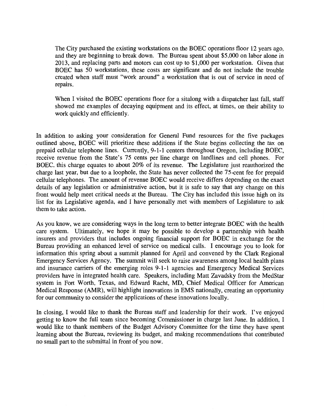The City purchased the existing workstations on the BOEC operations floor 12 years ago, and they are beginning to break down. The Bureau spent about \$5,000 on labor alone in 2013, and replacing parts and motors can cost up to \$1,000 per workstation. Given that BOEC has 50 workstations, these costs are significant and do not include the trouble created when staff must "work around" a workstation that is out of service in need of repairs.

When I visited the BOEC operations floor for a sitalong with a dispatcher last fall, staff showed me examples of decaying equipment and its effect, at times, on their ability to work quickly and efficiently.

In addition to asking your consideration for General Fund resources for the five packages outlined above, BOEC will prioritize these additions if the State begins collecting the tax on prepaid cellular telephone lines. Currently, 9-1-1 centers throughout Oregon, including BOEC, receive revenue from the State's 75 cents per line charge on landlines and cell phones. For BOEC, this charge equates to about 20% of its revenue. The Legislature just reauthorized the charge last year, but due to a loophole, the State has never collected the 75-cent fee for prepaid cellular telephones. The amount of revenue BOEC would receive differs depending on the exact details of any legislation or administrative action, but it is safe to say that any change on this front would help meet critical needs at the Bureau. The City has included this issue high on its list for its Legislative agenda, and I have personally met with members of Legislature to ask them to take action.

As you know, we are considering ways in the long term to better integrate BOEC with the health care system. Ultimately, we hope it may be possible to develop a partnership with health insurers and providers that includes ongoing financial support for BOEC in exchange for the Bureau providing an enhanced level of service on medical calls. I encourage you to look for information this spring about a summit planned for April and convened by the Clark Regional Emergency Services Agency. The summit will seek to raise awareness among local health plans and insurance carriers of the emerging roles 9-1-1 agencies and Emergency Medical Services providers have in integrated health care. Speakers, including Matt Zavadsky from the MedStar system in Fort Worth, Texas, and Edward Racht, MD, Chief Medical Officer for American Medical Response (AMR), will highlight innovations in EMS nationally, creating an opportunity for our community to consider the applications of these innovations locally.

In closing, I would like to thank the Bureau staff and leadership for their work. I've enjoyed getting to know the full team since becoming Commissioner in charge last June. In addition, I would like to thank members of the Budget Advisory Committee for the time they have spent learning about the Bureau, reviewing its budget, and making recommendations that contributed no small part to the submittal in front of you now.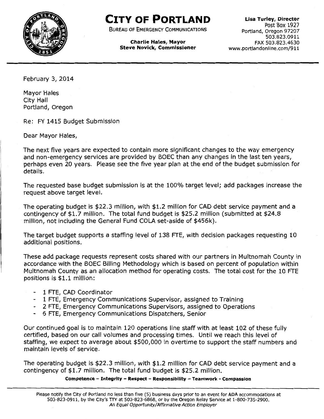

# **CITY OF PORTLAND**

BUREAU OF EMERGENCY COMMUNICATIONS

Charlie Hales, Mayor Steve Novick, Commissioner

Lisa Turley, Director Post Box 1927 Portland, Oregon 97207 503.823.0911 FAX 503.823.4630 www.portlandonline.com/911

February 3, 2014

Mayor Hales City Hall Portland, Oregon

Re: FY 1415 Budget Submission

Dear Mayor Hales,

The next five years are expected to contain more significant changes to the way emergency and non-emergency services are provided by BOEC than any changes in the last ten years, perhaps even 20 years. Please see the five year plan at the end of the budget submission for details.

The requested base budget submission is at the 100% target level; add packages increase the request above target level.

The operating budget is \$22.3 million, with \$1.2 million for CAD debt service payment and a contingency of \$1.7 million. The total fund budget is \$25.2 million (submitted at \$24.8 million, not including the General Fund COLA set-aside of \$456k).

The target budget supports a staffing level of 138 FTE, with decision packages requesting 10 additional positions.

These add package requests represent costs shared with our partners in Multnomah County in accordance with the BOEC Billing Methodology which is based on percent of population within Multnomah County as an allocation method for operating costs. The total cost for the 10 FTE positions is \$1.1 million:

- 1 FTE, CAD Coordinator
- 1 FTE, Emergency Communications Supervisor, assigned to Training
- 2 FTE, Emergency Communications Supervisors, assigned to Operations
- 6 FTE, Emergency Communications Dispatchers, Senior

Our continued goal is to maintain 120 operations line staff with at least 102 of these fully certified, based on our call volumes and processing times. Until we reach this level of staffing, we expect to average about \$500,000 in overtime to support the staff numbers and maintain levels of service.

The operating budget is \$22.3 million, with \$1.2 million for CAD debt service payment and a contingency of \$1.7 million. The total fund budget is \$25.2 million.

Competence - Integrity - Respect - Responsibility - Teamwork - Compassion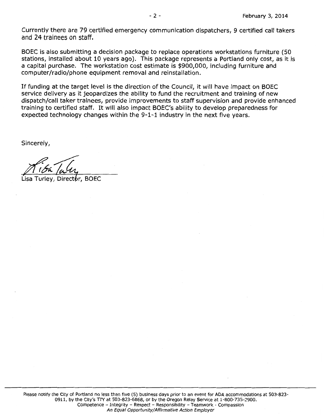Currently there are 79 Certified emergency communication dispatchers, 9 certified call takers and 24 trainees on staff.

BOEC is also submitting a decision package to replace operations workstations furniture (50 stations, installed about 10 years ago). This package represents a Portland only cost, as it is a capital purchase. The workstation cost estimate is \$900,000, including furniture and computer/radio/phone equipment removal and reinstallation.

If funding at the target level is the direction of the Council, it will have impact on BOEC service delivery as it jeopardizes the ability to fund the recruitment and training of new dispatch/call taker trainees, provide improvements to staff supervision and provide enhanced training to certified staff. It will also impact BOEC's ability to develop preparedness for expected technology changes within the 9-1-1 industry in the next five years.

Sincerely,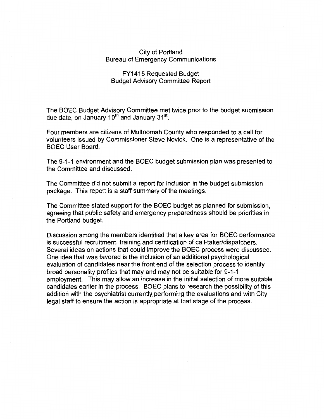### City of Portland Bureau.of Emergency Communications

# FY1415 Requested Budget Budget Advisory Committee Report

The BOEC Budget Advisory Committee met twice prior to the budget submission due date, on January  $10^{th}$  and January  $31^{st}$ .

Four members are citizens of Multnomah County who responded to a call for volunteers issued by Commissioner Steve Novick. One is a representative of the BOEC User Board.

The 9-1-1 environment and the BOEC budget submission plan was presented to the Committee and discussed.

The Committee did not submit a report for inclusion in the budget submission package. This report is a staff summary of the meetings.

The Committee stated support for the BOEC budget as planned for submission, agreeing that public safety and emergency preparedness should be priorities in the Portland budget.

Discussion among the members identified that a key area for BOEC performance is successful recruitment, training and certification of call-taker/dispatchers. Several ideas on actions that could improve the BOEC process were discussed. One idea that was favored is the inclusion of an additional psychological evaluation of candidates near the front end of the selection process to identify broad personality profiles that may and may not be suitable for 9-1-1 employment. This may allow an increase in the initial selection of more suitable candidates earlier in the process. BOEC plans to research the possibility of this addition with the psychiatrist currently performing the evaluations and with City legal staff to ensure the action is appropriate at that stage of the process.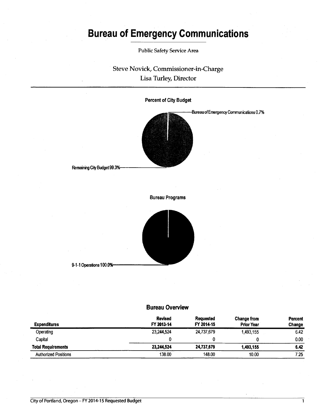# **Bureau of Emergency Communications**

Public Safety Service Area

Steve Novick, Commissioner-in-Charge Lisa Turley, Director



9-1-1 Operations 100.0%

### Bureau Overview

| <b>Expenditures</b>         | <b>Revised</b><br>FY 2013-14 | <b>Requested</b><br>FY 2014-15 | <b>Change from</b><br><b>Prior Year</b> | <b>Percent</b><br>Change |
|-----------------------------|------------------------------|--------------------------------|-----------------------------------------|--------------------------|
| Operating                   | 23.244.524                   | 24,737,679                     | 1,493,155                               | 6.42                     |
| Capital                     |                              |                                | 0                                       | 0.00                     |
| <b>Total Requirements</b>   | 23,244,524                   | 24,737,679                     | 1,493,155                               | 6.42                     |
| <b>Authorized Positions</b> | 138.00                       | 148.00                         | 10.00                                   | 7.25                     |

 $\overline{1}$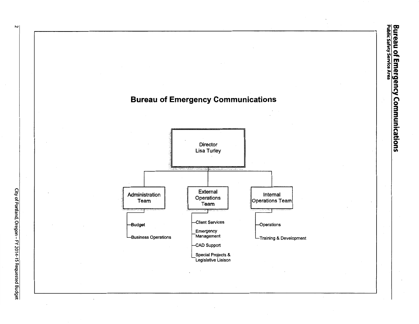

of Portland, Oregon -- FY 2014-15 Reque

 $\sim$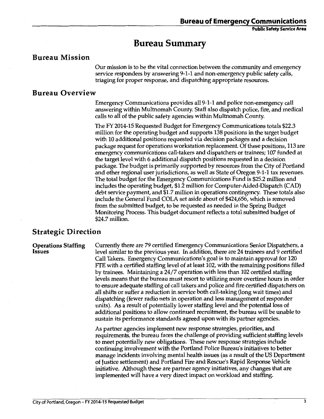# **Bureau Summary**

# **Bureau Mission**

Our mission is to be the vital connection between the community and emergency service responders by answering 9-1-1 and non-emergency public safety calls, triaging for proper response, and dispatching appropriate resources.

# **Bureau Overview**

Emergency Communications provides all 9-1-1 and police non-emergency call answering within Multnomah County. Staff also dispatch police, fire, and medical calls to all of the public safety agencies within Multnomah County.

The FY 2014-15 Requested Budget for Emergency Communications totals \$22.3 million for the operating budget and supports 138 positions in the target budget with 10 additional positions requested via decision packages and a decision package request for operations workstation replacement. Of these positions, 113 are emergency communications call-takers and dispatchers or trainees; 107 funded at the target level with 6 additional dispatch positions requested in a decision package. The budget is primarily supported by resources from the City of Portland and other regional user jurisdictions, as well as State of Oregon 9-1-1 tax revenues. The total budget for the Emergency Communications Fund is \$25.2 million and includes the operating budget, \$1.2 million for Computer-Aided-Dispatch (CAD) debt service payment, and \$1.7 million in operations contingency. These totals also include the General Fund COLA set aside about of \$424,656, which is removed from the submitted budget, to be requested as needed in the Spring Budget Monitoring Process. This budget document reflects a total submitted budget of \$24.7 million.

# **Strategic Direction**

#### **Operations Staffing**  Issues

Currently there are 79 certified Emergency Communications Senior Dispatchers, a level similar to the previous year. In addition, there are 24 trainees and 9 certified Call Takers. Emergency Communications's goal is to maintain approval for 120 FfE with a certified staffing level of at least 102, with the remaining positions filled by trainees. Maintaining a 24/7 operation with less than 102 certified staffing levels means that the bureau must resort to utilizing more overtime hours in order to ensure adequate staffing of call takers and police and fire certified dispatchers on all shifts or suffer a reduction in service both call-taking (long wait times) and dispatching (fewer radio nets in operation and less management of responder units). As a result of potentially lower staffing level and the potential loss of additional positions to allow continued recruitment, the bureau will be unable to sustain its performance standards agreed upon with its partner agencies.

As partner agencies implement new response strategies, priorities, and requirements, the bureau faces the challenge of providing sufficient staffing levels to meet potentially new obligations. These new response strategies include continuing involvement with the Portland Police Bureau's initiatives to better manage incidents involving mental health issues (as a result of the US Department of Justice settlement) and Portland Fire and Rescue's Rapid Response Vehicle initiative. Although these are partner agency initiatives, any changes that are implemented will have a very direct impact on workload and staffing.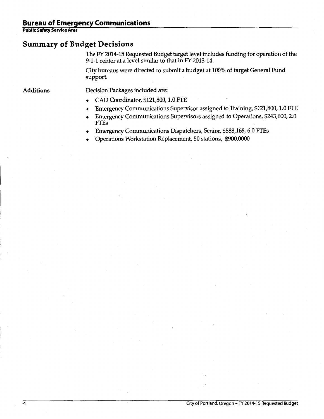# **Summary of Budget Decisions**

The FY 2014-15 Requested Budget target level includes funding for operation of the 9-1-1 center at a level similar to that in FY 2013-14.

City bureaus were directed to submit a budget at 100% of target General Fund support.

**Additions** 

Decision Packages included are:

- CAD Coordinator, \$121,800, 1.0 FTE
- + Emergency Communications Supervisor assigned to Training, \$121,800, 1.0 FTE
- + Emergency Communications Supervisors assigned to Operations, \$243,600, 2.0 FTEs
- + Emergency Communications Dispatchers, Senior, \$588,168, 6.0 FTEs
- + Operations Workstation Replacement, 50 stations, \$900,0000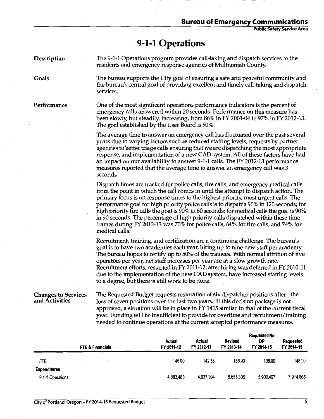# **9-1-1 Operations**

Description The 9-1-1 Operations program provides call-taking and dispatch services to the residents and emergency response agencies of Multnomah County.

Goals

The bureau supports the City goal of ensuring a safe and peaceful community and the bureau's central goal of providing excellent and timely call-taking and dispatch services.

Performance

One of the most significant operations performance indicators is the percent of emergency calls answered within 20 seconds. Performance on this measure has been slowly, but steadily, increasing, from 86% in FY 2003-04 to 97% in FY 2012-13. The goal established by the User Board is 90%.

The average time to answer an emergency call has fluctuated over the past several years due to varying factors such as reduced staffing levels, requests by partner agencies to better triage calls ensuring that we are dispatching the most appropriate response, and implementation of a new CAD system. All of these factors have had an impact on our availability to answer 9-1-1 calls. The FY 2012-13 performance measures reported that the average time to answer an emergency call was 3 seconds.

Dispatch times are tracked for police calls, fire calls, and emergency medical calls from the point in which the call comes in until the attempt to dispatch action. The primary focus is on response times to the highest priority, most urgent calls. The performance goal for high priority police calls is to dispatch 90% in 120 seconds; for high priority fire calls the goal is 90% in 60 seconds; for medical calls the goal is 90% in 90 seconds. The percentage of high priority calls dispatched within these time frames during FY 2012-13 was 70% for police calls, 64% for fire calls, and 74% for medical calls.

Recruitment, training, and certification are a continuing challenge. The bureau's goal is to have two academies each year, hiring up to nine new staff per academy. The bureau hopes to certify up to 50% of the trainees. With normal attrition of five operators per year, net staff increases per year are at a slow growth rate. Recruitment efforts, restarted in FY 2011-12, after hiring was deferred in FY 2010-11 due to the implementation of the new CAD system, have increased staffing levels to a degree, but there is still work to be done.

**Changes to Services** The Requested Budget requests restoration of six dispatcher positions after the **and Activities** is not loss of seven positions over the last two years. If this decision package is not approved, a situation will be in place in FY 1415 similar to that of the current fiscal year. Funding will be insufficient to provide for overtime and recruitment/ training needed to continue operations at the current accepted performance measures.

|                                         | <b>FTE &amp; Financials</b> | <b>Actual</b><br>FY 2011-12 | <b>Actual</b><br>FY 2012-13 | <b>Revised</b><br>FY 2013-14 | <b>Requested No</b><br>DP<br>FY 2014-15 | <b>Requested</b><br>FY 2014-15 |
|-----------------------------------------|-----------------------------|-----------------------------|-----------------------------|------------------------------|-----------------------------------------|--------------------------------|
| FTE                                     |                             | 145.00                      | 142.58                      | 138.00                       | 138.00                                  | 148.00                         |
| <b>Expenditures</b><br>9-1-1 Operations |                             | 4,883,483                   | 4.937,204                   | 6,655,305                    | 5,939,497                               | 7,914,865                      |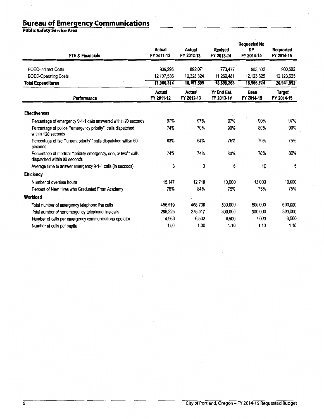# **Bureau of Emergency Communications**

**Public Safety Service Area** 

| <b>FTE &amp; Financials</b>                                                                     | <b>Actual</b><br>FY 2011-12 | <b>Actual</b><br>FY 2012-13 | <b>Revised</b><br>FY 2013-14     | <b>Requested No</b><br>DP<br>FY 2014-15 | <b>Requested</b><br>FY 2014-15 |
|-------------------------------------------------------------------------------------------------|-----------------------------|-----------------------------|----------------------------------|-----------------------------------------|--------------------------------|
| <b>BOEC-Indirect Costs</b>                                                                      | 939.295                     | 892,071                     | 773,477                          | 903,502                                 | 903,502                        |
| <b>BOEC-Operating Costs</b>                                                                     | 12,137,536                  | 12,328,324                  | 11,269,481                       | 12,123,625                              | 12,123,625                     |
| <b>Total Expenditures</b>                                                                       | 17,960,314                  | 18,157,599                  | 18,698,263                       | 18,966,624                              | 20,941,992                     |
| Performance                                                                                     | Actual<br>FY 2011-12        | <b>Actual</b><br>FY 2012-13 | <b>Yr End Est.</b><br>FY 2013-14 | <b>Base</b><br>FY 2014-15               | <b>Target</b><br>FY 2014-15    |
| <b>Effectiveness</b>                                                                            |                             |                             |                                  |                                         |                                |
| Percentage of emergency 9-1-1 calls answered within 20 seconds                                  | 97%                         | 97%                         | 97%                              | 90%                                     | 97%                            |
| Percentage of police ""emergency priority"" calls dispatched<br>within 120 seconds              | 74%                         | 70%                         | 90%                              | 80%                                     | 90%                            |
| Percentage of fire ""urgent priority"" calls dispatched within 60<br>seconds                    | 63%                         | 64%                         | 75%                              | 70%                                     | 75%                            |
| Percentage of medical ""priority emergency, one, or two"" calls<br>dispatched within 90 seconds | 74%                         | 74%                         | 80%                              | 70%                                     | 80%                            |
| Average time to answer emergency 9-1-1 calls (in seconds)                                       | 3                           | 3                           | 5                                | 10                                      | 5                              |
| <b>Efficiency</b>                                                                               |                             |                             |                                  |                                         |                                |
| Number of overtime hours                                                                        | 15,147                      | 12,719                      | 10,000                           | 13,000                                  | 10,000                         |
| Percent of New Hires who Graduated From Academy                                                 | 78%                         | 84%                         | 75%                              | 75%                                     | 75%                            |
| Workload                                                                                        |                             |                             |                                  |                                         |                                |
| Total number of emergency telephone line calls                                                  | 456,619                     | 468,738                     | 500,000                          | 500,000                                 | 500,000                        |
| Total number of nonemergency telephone line calls                                               | 286,225                     | 275,917                     | 300,000                          | 300,000                                 | 300,000                        |
| Number of calls per emergency communications operator                                           | 4,963                       | 6,532                       | 6,500                            | 7,000                                   | 6,500                          |
| Number of calls per capita                                                                      | 1.00                        | 1.00                        | 1.10                             | 1.10                                    | 1.10                           |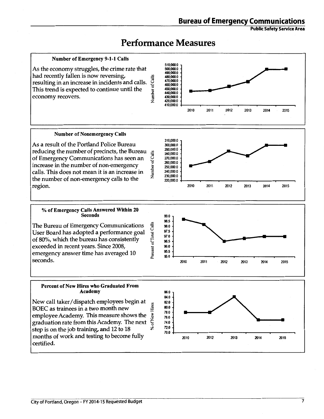# **Performance Measures**

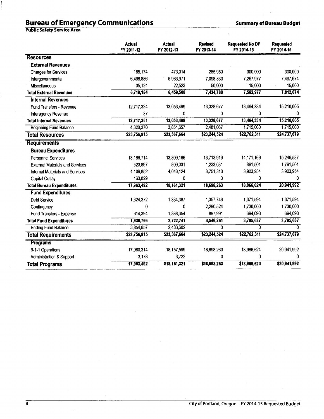# **Bureau of Emergency Communications Summary of Bureau Budget**

Public Safety Service Area

|                                        | <b>Actual</b><br>FY 2011-12 | <b>Actual</b><br>FY 2012-13 | <b>Revised</b><br>FY 2013-14 | <b>Requested No DP</b><br>FY 2014-15 | <b>Requested</b><br>FY 2014-15 |
|----------------------------------------|-----------------------------|-----------------------------|------------------------------|--------------------------------------|--------------------------------|
| <b>Resources</b>                       |                             |                             |                              |                                      |                                |
| <b>External Revenues</b>               |                             |                             |                              |                                      |                                |
| <b>Charges for Services</b>            | 185,174                     | 473,014                     | 285,950                      | 300,000                              | 300,000                        |
| Intergovernmental                      | 6,498,886                   | 5,963,971                   | 7,098,830                    | 7,267,977                            | 7,497,674                      |
| Miscellaneous                          | 35,124                      | 22,523                      | 50,000                       | 15,000                               | 15,000                         |
| <b>Total External Revenues</b>         | 6,719,184                   | 6,459,508                   | 7,434,780                    | 7,582,977                            | 7,812,674                      |
| <b>Internal Revenues</b>               |                             |                             |                              |                                      |                                |
| Fund Transfers - Revenue               | 12,717,324                  | 13,053,499                  | 13,328,677                   | 13,464,334                           | 15,210,005                     |
| Interagency Revenue                    | 37                          | 0                           | 0                            | 0                                    | 0                              |
| <b>Total Internal Revenues</b>         | 12,717,361                  | 13,053,499                  | 13,328,677                   | 13,464,334                           | 15,210,005                     |
| <b>Beginning Fund Balance</b>          | 4,320,370                   | 3,854,657                   | 2,481,067                    | 1,715,000                            | 1,715,000                      |
| <b>Total Resources</b>                 | \$23,756,915                | \$23,367,664                | \$23,244,524                 | \$22,762,311                         | \$24,737,679                   |
| <b>Requirements</b>                    |                             |                             |                              |                                      |                                |
| <b>Bureau Expenditures</b>             |                             |                             |                              |                                      |                                |
| <b>Personnel Services</b>              | 13,166,714                  | 13,309,166                  | 13,713,919                   | 14,171,169                           | 15,246,537                     |
| <b>External Materials and Services</b> | 523,897                     | 809,031                     | 1,233,031                    | 891,501                              | 1,791,501                      |
| Internal Materials and Services        | 4,109,852                   | 4,043,124                   | 3,751,313                    | 3,903,954                            | 3,903,954                      |
| <b>Capital Outlay</b>                  | 163,029                     | 0                           | 0                            | 0                                    |                                |
| <b>Total Bureau Expenditures</b>       | 17,963,492                  | 18, 161, 321                | 18,698,263                   | 18,966,624                           | 20,941,992                     |
| <b>Fund Expenditures</b>               |                             |                             |                              |                                      |                                |
| <b>Debt Service</b>                    | 1,324,372                   | 1,334,387                   | 1,357,746                    | 1,371,594                            | 1,371,594                      |
| Contingency                            | 0                           | 0                           | 2,290,524                    | 1,730,000                            | 1,730,000                      |
| Fund Transfers - Expense               | 614,394                     | 1,388,354                   | 897,991                      | 694,093                              | 694,093                        |
| <b>Total Fund Expenditures</b>         | 1,938,766                   | 2,722,741                   | 4,546,261                    | 3,795,687                            | 3,795,687                      |
| <b>Ending Fund Balance</b>             | 3,854,657                   | 2,483,602                   | 0                            | 0                                    | 0                              |
| <b>Total Requirements</b>              | \$23,756,915                | \$23,367,664                | \$23,244,524                 | \$22,762,311                         | \$24,737,679                   |
| <b>Programs</b>                        |                             |                             |                              |                                      |                                |
| 9-1-1 Operations                       | 17,960,314                  | 18,157,599                  | 18,698,263                   | 18,966,624                           | 20,941,992                     |
| <b>Administration &amp; Support</b>    | 3,178                       | 3,722                       | 0                            | 0                                    | <sup>0</sup>                   |
| <b>Total Programs</b>                  | 17,963,492                  | \$18,161,321                | \$18,698,263                 | \$18,966,624                         | \$20,941,992                   |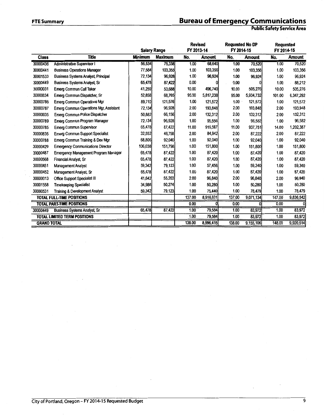|                    |                                             | <b>Salary Range</b> |                |        | <b>Revised</b><br>FY 2013-14 |        | <b>Requested No DP</b><br>FY 2014-15 | <b>Requested</b><br>FY 2014-15 |               |
|--------------------|---------------------------------------------|---------------------|----------------|--------|------------------------------|--------|--------------------------------------|--------------------------------|---------------|
| <b>Class</b>       | <b>Title</b>                                | <b>Minimum</b>      | <b>Maximum</b> | No.    | <b>Amount</b>                | No.    | <b>Amount</b>                        | No.                            | <b>Amount</b> |
| 30000436           | <b>Administrative Supervisor I</b>          | 56,534              | 75,338         | 1.00   | 68,640                       | 1.00   | 70,520                               | 1.00                           | 70,520        |
| 30000441           | <b>Business Operations Manager</b>          | 77,584              | 103,355        | 1.00   | 103,356                      | 1.00   | 103,356                              | 1.00                           | 103,356       |
| 30001533           | <b>Business Systems Analyst, Principal</b>  | 72,134              | 96,928         | 1.00   | 96,924                       | 1.00   | 96,924                               | 1.00                           | 96,924        |
| 30000449           | <b>Business Systems Analyst, Sr</b>         | 65,478              | 87,422         | 0.00   | O                            | 0.00   | O                                    | 1.00                           | 88,212        |
| 30000031           | Emerg Commun Call Taker                     | 41,259              | 53,688         | 10.00  | 496,740                      | 10.00  | 505,276                              | 10.00                          | 505,276       |
| 30000034           | Emerg Commun Dispatcher, Sr                 | 52,858              | 68,765         | 95.00  | 5,817,238                    | 95.00  | 5,934,732                            | 101.00                         | 6,347,292     |
| 30000786           | <b>Emerg Commun Operations Mgr</b>          | 89,710              | 121,576        | 1.00   | 121,572                      | 1.00   | 121,572                              | 1.00                           | 121,572       |
| 30000787           | Emerg Commun Operations Mgr, Assistant      | 72,134              | 96,928         | 2.00   | 193,848                      | 2.00   | 193,848                              | 2.00                           | 193,848       |
| 30000035           | Emerg Commun Police Dispatcher              | 50,882              | 66,156         | 2.00   | 132,312                      | 2.00   | 132,312                              | 2.00                           | 132,312       |
| 30000789           | Emerg Commun Program Manager                | 72,134              | 96,928         | 1.00   | 95,556                       | 1.00   | 96,582                               | 1.00                           | 96,582        |
| 30000785           | <b>Emerg Commun Supervisor</b>              | 65,478              | 87,422         | 11.00  | 919,587                      | 11.00  | 937,751                              | 14.00                          | 1,202,387     |
| 30000835           | <b>Emerg Commun Support Specialist</b>      | 32,552              | 46,758         | 2.00   | 84,942                       | 2.00   | 87,222                               | 2.00                           | 87,222        |
| 30000788           | Emerg Commun Training & Dev Mgr             | 68,806              | 92,040         | 1.00   | 92,040                       | 1.00   | 92,040                               | 1.00                           | 92,040        |
| 30000429           | <b>Emergency Communications Director</b>    | 106,038             | 151,798        | 1.00   | 151,800                      | 1.00   | 151,800                              | 1.00                           | 151,800       |
| 30000487           | <b>Emergency Management Program Manager</b> | 65,478              | 87,422         | 1.00   | 87,420                       | 1.00   | 87,420                               | 1.00                           | 87,420        |
| 30000568           | Financial Analyst, Sr                       | 65,478              | 87,422         | 1.00   | 87,420                       | 1.00   | 87,420                               | 1.00                           | 87,420        |
| 30000451           | <b>Management Analyst</b>                   | 59,342              | 79,123         | 1.00   | 57,456                       | 1.00   | 59,340                               | 1.00                           | 59,340        |
| 30000452           | Management Analyst, Sr                      | 65,478              | 87,422         | 1.00   | 87,420                       | 1.00   | 87,420                               | 1.00                           | 87,420        |
| 30000013           | Office Support Specialist III               | 41,642              | 55,203         | 2.00   | 96,840                       | 2.00   | 96,840                               | 2.00                           | 96,840        |
| 30001558           | <b>Timekeeping Specialist</b>               | 34,986              | 50,274         | 1.00   | 50,280                       | 1.00   | 50,280                               | 1.00                           | 50,280        |
| 30000531           | <b>Training &amp; Development Analyst</b>   | 59,342              | 79,123         | 1.00   | 75,440                       | 1.00   | 78,479                               | 1.00                           | 78,479        |
|                    | TOTAL FULL-TIME POSITIONS                   |                     |                | 137.00 | 8,916,831                    | 137.00 | 9,071,134                            | 147.00                         | 9,836,542     |
|                    | <b>TOTAL PART-TIME POSITIONS</b>            |                     |                | 0.00   |                              | 0.00   |                                      | 0.00                           |               |
| 30000449           | <b>Business Systems Analyst, Sr</b>         | 65,478              | 87,422         | 1.00   | 79,584                       | 1.00   | 83,972                               | 1.00                           | 83,972        |
|                    | TOTAL LIMITED TERM POSITIONS                |                     |                | 1.00   | 79,584                       | 1.00   | 83,972                               | 1.00                           | 83,972        |
| <b>GRAND TOTAL</b> |                                             |                     |                | 138.00 | 8,996,415                    | 138.00 | 9,155,106                            | 148.00                         | 9,920,514     |

9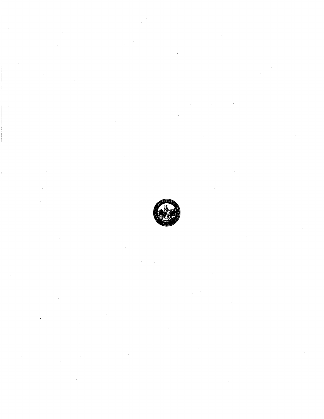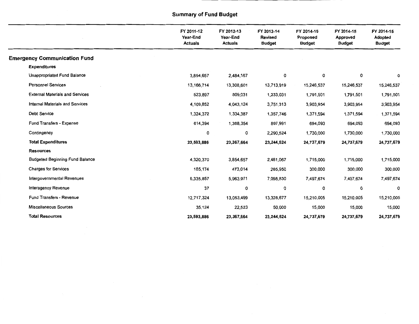# **Summary of Fund Budget**

|                                        | FY 2011-12<br>Year-End<br><b>Actuals</b> | FY 2012-13<br>Year-End<br><b>Actuals</b> | FY 2013-14<br><b>Revised</b><br><b>Budget</b> | FY 2014-15<br>Proposed<br><b>Budget</b> | FY 2014-15<br>Approved<br><b>Budget</b> | FY 2014-15<br>Adopted<br><b>Budget</b> |
|----------------------------------------|------------------------------------------|------------------------------------------|-----------------------------------------------|-----------------------------------------|-----------------------------------------|----------------------------------------|
| <b>Emergency Communication Fund</b>    |                                          |                                          |                                               |                                         |                                         |                                        |
| <b>Expenditures</b>                    |                                          |                                          |                                               |                                         |                                         |                                        |
| <b>Unappropriated Fund Balance</b>     | 3,854,657                                | 2,484,167                                | 0                                             | 0                                       | 0                                       | 0                                      |
| <b>Personnel Services</b>              | 13,166,714                               | 13,308,601                               | 13,713,919                                    | 15,246,537                              | 15,246,537                              | 15,246,537                             |
| <b>External Materials and Services</b> | 523,897                                  | 809,031                                  | 1,233,031                                     | 1,791,501                               | 1,791,501                               | 1,791,501                              |
| <b>Internal Materials and Services</b> | 4,109,852                                | 4,043,124                                | 3,751,313                                     | 3,903,954                               | 3,903,954                               | 3,903,954                              |
| <b>Debt Service</b>                    | 1,324,372                                | 1,334,387                                | 1,357,746                                     | 1,371,594                               | 1,371,594                               | 1,371,594                              |
| Fund Transfers - Expense               | 614,394                                  | 1,388,354                                | 897,991                                       | 694,093                                 | 694,093                                 | 694,093                                |
| Contingency                            | 0                                        | 0                                        | 2,290,524                                     | 1,730,000                               | 1,730,000                               | 1,730,000                              |
| <b>Total Expenditures</b>              | 23,593,886                               | 23,367,664                               | 23,244,524                                    | 24,737,679                              | 24,737,679                              | 24,737,679                             |
| <b>Resources</b>                       |                                          |                                          |                                               |                                         |                                         |                                        |
| <b>Budgeted Beginning Fund Balance</b> | 4,320,370                                | 3,854,657                                | 2,481,067                                     | 1,715,000                               | 1,715,000                               | 1,715,000                              |
| <b>Charges for Services</b>            | 185,174                                  | 473,014                                  | 285,950                                       | 300,000                                 | 300,000                                 | 300,000                                |
| Intergovernmental Revenues             | 6,335,857                                | 5,963,971                                | 7,098,830                                     | 7,497,674                               | 7,497,674                               | 7,497,674                              |
| <b>Interagency Revenue</b>             | 37                                       | 0                                        | 0                                             | 0                                       | 0                                       | 0                                      |
| <b>Fund Transfers - Revenue</b>        | 12,717,324                               | 13,053,499                               | 13,328,677                                    | 15,210,005                              | 15,210,005                              | 15,210,005                             |
| <b>Miscellaneous Sources</b>           | 35,124                                   | 22,523                                   | 50,000                                        | 15,000                                  | 15,000                                  | 15,000                                 |
| <b>Total Resources</b>                 | 23,593,886                               | 23,367,664                               | 23,244,524                                    | 24,737,679                              | 24,737,679                              | 24,737,679                             |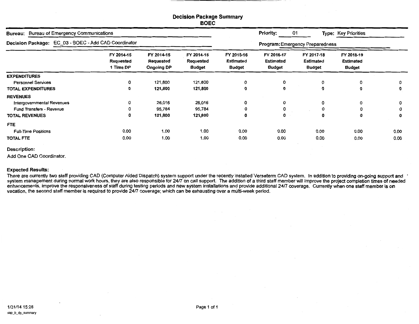| <b>Bureau of Emergency Communications</b><br><b>Bureau:</b> |                                      |                                              |                                          |                                                 | <b>Priority:</b>                                | 01                                              | Type: Key Priorities                            |      |
|-------------------------------------------------------------|--------------------------------------|----------------------------------------------|------------------------------------------|-------------------------------------------------|-------------------------------------------------|-------------------------------------------------|-------------------------------------------------|------|
| Decision Package: EC_03 - BOEC - Add CAD Coordinator        |                                      |                                              |                                          |                                                 |                                                 |                                                 |                                                 |      |
|                                                             | FY 2014-15<br>Requested<br>1 Time DP | FY 2014-15<br>Requested<br><b>Ongoing DP</b> | FY 2014-15<br>Requested<br><b>Budget</b> | FY 2015-16<br><b>Estimated</b><br><b>Budget</b> | FY 2016-17<br><b>Estimated</b><br><b>Budget</b> | FY 2017-18<br><b>Estimated</b><br><b>Budget</b> | FY 2018-19<br><b>Estimated</b><br><b>Budget</b> |      |
| <b>EXPENDITURES</b>                                         |                                      |                                              |                                          |                                                 |                                                 |                                                 |                                                 |      |
| <b>Personnel Services</b>                                   | 0                                    | 121,800                                      | 121,800                                  | 0                                               | 0                                               | 0                                               | 0                                               |      |
| <b>TOTAL EXPENDITURES</b>                                   | 0                                    | 121,800                                      | 121,800                                  | 0                                               | 0                                               | 0                                               | 0                                               | 0    |
| <b>REVENUES</b>                                             |                                      |                                              |                                          |                                                 |                                                 |                                                 |                                                 |      |
| Intergovernmental Revenues                                  | 0                                    | 26,016                                       | 26.016                                   | 0                                               | 0                                               | 0                                               | 0                                               | 0    |
| <b>Fund Transfers - Revenue</b>                             | 0                                    | 95,784                                       | 95,784                                   | 0                                               | 0                                               | ٥                                               | 0                                               | 0    |
| <b>TOTAL REVENUES</b>                                       | $\mathbf{0}$                         | 121,800                                      | 121,800                                  | 0                                               | 0                                               | 0                                               | 0                                               | 0    |
| <b>FTE</b>                                                  |                                      |                                              |                                          |                                                 |                                                 |                                                 |                                                 |      |
| <b>Full-Time Positions</b>                                  | 0.00                                 | 1.00                                         | 1.00                                     | 0.00                                            | 0.00                                            | 0.00                                            | 0.00                                            | 0.00 |
| <b>TOTAL FTE</b>                                            | 0.00                                 | 1.00                                         | 1.00                                     | 0.00                                            | 0.00                                            | 0.00                                            | 0.00                                            | 0.00 |

#### Description:

Add One CAD Coordinator.

#### Expected Results:

There are currently two staff providing CAD (Computer Aided Dispatch) system support under the recently installed Versaterm CAD system. In addition to providing on-going support and system management during normal work hours, they are also responsible for 24/7 on call support. The addition of a third staff member will improve the project completion times of needed enhancements, improve the responsiveness of staff during testing periods and new system installations and provide additional 24/7 coverage. Currently when one staff member is on vacation, the second staff member is required to provide 24/7 coverage; which can be exhausting over a multi-week period.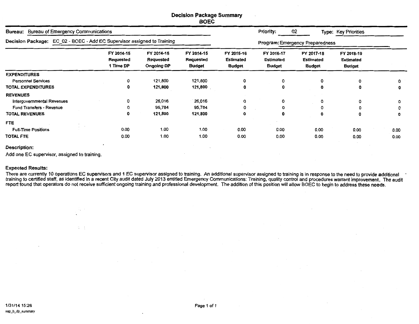| <b>Bureau of Emergency Communications</b><br>Bureau:                    |                                      |                                              |                                          |                                                 | <b>Priority:</b>                                | 02                                              | <b>Type: Key Prionties</b>                      |      |
|-------------------------------------------------------------------------|--------------------------------------|----------------------------------------------|------------------------------------------|-------------------------------------------------|-------------------------------------------------|-------------------------------------------------|-------------------------------------------------|------|
| Decision Package: EC_02 - BOEC - Add EC Supervisor assigned to Training |                                      |                                              |                                          |                                                 |                                                 |                                                 |                                                 |      |
|                                                                         | FY 2014-15<br>Requested<br>1 Time DP | FY 2014-15<br>Requested<br><b>Ongoing DP</b> | FY 2014-15<br>Requested<br><b>Budget</b> | FY 2015-16<br><b>Estimated</b><br><b>Budget</b> | FY 2016-17<br><b>Estimated</b><br><b>Budget</b> | FY 2017-18<br><b>Estimated</b><br><b>Budget</b> | FY 2018-19<br><b>Estimated</b><br><b>Budget</b> |      |
| <b>EXPENDITURES</b>                                                     |                                      |                                              |                                          |                                                 |                                                 |                                                 |                                                 |      |
| <b>Personnel Services</b>                                               | 0                                    | 121,800                                      | 121,800                                  | 0                                               | 0                                               | ٥                                               |                                                 | 0    |
| <b>TOTAL EXPENDITURES</b>                                               | 0                                    | 121,800                                      | 121,800                                  | 0                                               | 0                                               | 0                                               | 0                                               | 0    |
| <b>REVENUES</b>                                                         |                                      |                                              |                                          |                                                 |                                                 |                                                 |                                                 |      |
| Intergovernmental Revenues                                              | 0                                    | 26,016                                       | 26,016                                   | 0                                               | 0                                               | 0                                               | 0                                               | 0    |
| <b>Fund Transfers - Revenue</b>                                         |                                      | 95,784                                       | 95,784                                   | 0                                               | 0                                               | ٥                                               |                                                 |      |
| <b>TOTAL REVENUES</b>                                                   | 0                                    | 121,800                                      | 121,800                                  | 0                                               |                                                 | 0                                               | 0                                               | 0    |
| <b>FTE</b>                                                              |                                      |                                              |                                          |                                                 |                                                 |                                                 |                                                 |      |
| <b>Full-Time Positions</b>                                              | 0.00                                 | 1.00                                         | 1.00                                     | 0.00                                            | 0.00                                            | 0.00                                            | 0.00                                            | 0.00 |
| TOTAL FTE                                                               | 0.00                                 | 1.00                                         | 1.00                                     | 0.00                                            | 0.00                                            | 0.00                                            | 0.00                                            | 0.00 |
| Dooorintion:                                                            |                                      |                                              |                                          |                                                 |                                                 |                                                 |                                                 |      |

Description:

Add one EC supervisor, assigned to training.

6. 4

#### Expected Results:

There are currently 10 operations EC supervisors and 1 EC supervisor assigned to training. An additional supervisor assigned to training is in response to the need to provide additional training to certified staff, as identified in a recent City audit dated July 2013 entitled Emergency Communications: Training, quality control and procedures warrant improvement. The audit report found that operators do not receive sufficient ongoing training and professional development. The addition of this position will allow BOEC to begin to address these needs.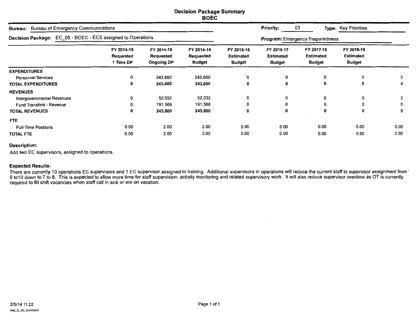|                                                             |                                      |                                                     |                                          |                                          | <b>Priority:</b>                                | 03                                              | Type: Key Priorities                            |      |
|-------------------------------------------------------------|--------------------------------------|-----------------------------------------------------|------------------------------------------|------------------------------------------|-------------------------------------------------|-------------------------------------------------|-------------------------------------------------|------|
| <b>Bureau of Emergency Communications</b><br><b>Bureau:</b> |                                      |                                                     |                                          |                                          |                                                 |                                                 |                                                 |      |
| Decision Package: EC_05 - BOEC - ECS assigned to Operations |                                      |                                                     |                                          |                                          |                                                 |                                                 |                                                 |      |
|                                                             | FY 2014-15<br>Requested<br>1 Time DP | FY 2014-15<br><b>Requested</b><br><b>Ongoing DP</b> | FY 2014-15<br>Requested<br><b>Budget</b> | FY 2015-16<br><b>Estimated</b><br>Budget | FY 2016-17<br><b>Estimated</b><br><b>Budget</b> | FY 2017-18<br><b>Estimated</b><br><b>Budget</b> | FY 2018-19<br><b>Estimated</b><br><b>Budget</b> |      |
| <b>EXPENDITURES</b>                                         |                                      |                                                     |                                          |                                          |                                                 |                                                 |                                                 |      |
| <b>Personnel Services</b>                                   | 0                                    | 243,600                                             | 243,600                                  | 0                                        | 0                                               | 0                                               | 0                                               | 0    |
| <b>TOTAL EXPENDITURES</b>                                   | 0                                    | 243,600                                             | 243,600                                  | 0                                        | 0                                               | 0                                               | 0                                               | 0    |
| <b>REVENUES</b>                                             |                                      |                                                     |                                          |                                          |                                                 |                                                 |                                                 |      |
| <b>Intergovernmental Revenues</b>                           | 0                                    | 52,032                                              | 52,032                                   | 0                                        | 0                                               | 0                                               | 0                                               | 0    |
| Fund Transfers - Revenue                                    |                                      | 191,568                                             | 191,568                                  | 0                                        | 0                                               | 0                                               |                                                 | 0    |
| <b>TOTAL REVENUES</b>                                       | 0                                    | 243,600                                             | 243,600                                  | 0                                        | $\mathbf 0$                                     |                                                 | 0                                               | 0    |
| FTE.                                                        |                                      |                                                     |                                          |                                          |                                                 |                                                 |                                                 |      |
| <b>Full-Time Positions</b>                                  | 0.00                                 | 2.00                                                | 2.00                                     | 0.00                                     | 0.00                                            | 0.00                                            | 0.00                                            | 0.00 |
| <b>TOTAL FTE</b>                                            | 0.00                                 | 2.00                                                | 2.00                                     | 0.00                                     | 0.00                                            | 0.00                                            | 0.00                                            | 0.00 |

#### Description:

Add two EC supervisors, assigned to operations.

#### Expected Results:

There are currently 10 operations EC supervisors and 1 EC supervisor assigned to training. Additional supervisors in operations will reduce the current staff to supervisor assignment from 9 to10 down to 7 to 8. This is expected to allow more time for staff supervision, activity monitoring and related supervisory work. It will also reduce supervisor overtime as OT is currently required to fill shift vacancies when staff call in sick or are on vacation.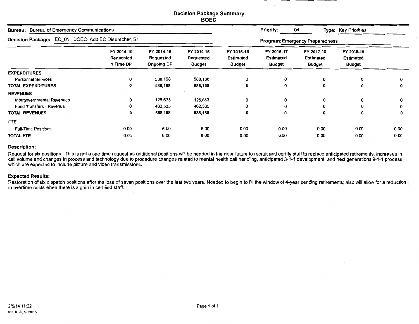| <b>Bureau of Emergency Communications</b><br><b>Bureau:</b> |                                      |                                              |                                          |                                                 | <b>Priority:</b>                                | 04                                              | Type: Key Priorities                            |      |  |
|-------------------------------------------------------------|--------------------------------------|----------------------------------------------|------------------------------------------|-------------------------------------------------|-------------------------------------------------|-------------------------------------------------|-------------------------------------------------|------|--|
| Decision Package: EC_01 - BOEC- Add EC Dispatcher, Sr       |                                      |                                              |                                          | <b>Program: Emergency Preparedness</b>          |                                                 |                                                 |                                                 |      |  |
|                                                             | FY 2014-15<br>Requested<br>1 Time DP | FY 2014-15<br>Requested<br><b>Ongoing DP</b> | FY 2014-15<br>Requested<br><b>Budget</b> | FY 2015-16<br><b>Estimated</b><br><b>Budget</b> | FY 2016-17<br><b>Estimated</b><br><b>Budget</b> | FY 2017-18<br><b>Estimated</b><br><b>Budget</b> | FY 2018-19<br><b>Estimated</b><br><b>Budget</b> |      |  |
| <b>EXPENDITURES</b><br><b>Personnel Services</b>            | 0                                    | 588,168                                      | 588,168                                  | 0                                               | 0                                               | 0                                               | 0                                               | 0    |  |
| <b>TOTAL EXPENDITURES</b>                                   | 0                                    | 588,168                                      | 588,168                                  | 0                                               | 0                                               | 0                                               | 0                                               | 0    |  |
| <b>REVENUES</b>                                             |                                      |                                              |                                          |                                                 |                                                 |                                                 |                                                 |      |  |
| Intergovernmental Revenues                                  | 0                                    | 125,633                                      | 125,633                                  | 0                                               | 0                                               | 0                                               | 0                                               | 0    |  |
| <b>Fund Transfers - Revenue</b>                             |                                      | 462,535                                      | 462,535                                  | 0                                               | Ω                                               | 0                                               |                                                 | 0    |  |
| <b>TOTAL REVENUES</b>                                       | 0                                    | 588,168                                      | 588,168                                  | 0                                               | 0                                               | 0                                               | 0                                               | o    |  |
| FTE.                                                        |                                      |                                              |                                          |                                                 |                                                 |                                                 |                                                 |      |  |
| <b>Full-Time Positions</b>                                  | 0.00                                 | 6.00                                         | 6.00                                     | 0.00                                            | 0.00                                            | 0.00                                            | 0.00                                            | 0.00 |  |
| <b>TOTAL FTE</b>                                            | 0.00                                 | 6.00                                         | 6.00                                     | 0.00                                            | 0.00                                            | 0.00                                            | 0.00                                            | 0.00 |  |

#### Description:

Request for six positions. This is not a one time request as additional positions will be needed in the near future to recruit and certify staff to replace anticipated retirements, increases in call volume and changes in process and technology due to procedure changes related to mental health call handling, anticipated 3-1-1 development, and next generations 9-1-1 process which are expected to include picture and video transmissions.

#### Expected Results:

Restoration of six dispatch positions after the loss of seven positions over the last two years. Needed to begin to fill the window of 4-year pending retirements; also will allow for a reduction | in overtime costs when there is a gain in certified staff.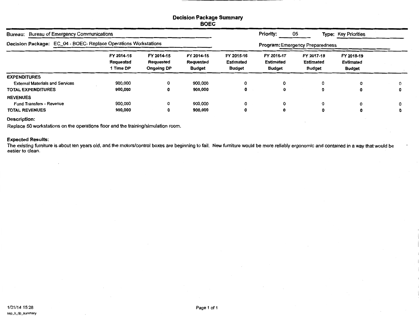| <b>Bureau of Emergency Communications</b><br>Bureau:                      |                                      |                                              |                                                 |                                          | <b>Priority:</b>                                | 05                                              | <b>Type: Key Priorities</b>                     |   |
|---------------------------------------------------------------------------|--------------------------------------|----------------------------------------------|-------------------------------------------------|------------------------------------------|-------------------------------------------------|-------------------------------------------------|-------------------------------------------------|---|
| EC_04 - BOEC- Replace Operations Workstations<br><b>Decision Package:</b> |                                      | <b>Program: Emergency Preparedness</b>       |                                                 |                                          |                                                 |                                                 |                                                 |   |
|                                                                           | FY 2014-15<br>Requested<br>1 Time DP | FY 2014-15<br>Requested<br><b>Ongoing DP</b> | FY 2014-15<br><b>Requested</b><br><b>Budget</b> | FY 2015-16<br>Estimated<br><b>Budget</b> | FY 2016-17<br><b>Estimated</b><br><b>Budget</b> | FY 2017-18<br><b>Estimated</b><br><b>Budget</b> | FY 2018-19<br><b>Estimated</b><br><b>Budget</b> |   |
| <b>EXPENDITURES</b>                                                       |                                      |                                              |                                                 |                                          |                                                 |                                                 |                                                 |   |
| <b>External Materials and Services</b>                                    | 900,000                              | 0                                            | 900,000                                         | 0                                        | 0                                               | 0                                               | 0                                               |   |
| <b>TOTAL EXPENDITURES</b>                                                 | 900,000                              | 0                                            | 900,000                                         | 0                                        | 0                                               | 0                                               | 0                                               |   |
| <b>REVENUES</b>                                                           |                                      |                                              |                                                 |                                          |                                                 |                                                 |                                                 |   |
| <b>Fund Transfers - Revenue</b>                                           | 900,000                              | 0                                            | 900,000                                         | 0                                        | 0                                               |                                                 | 0                                               |   |
| <b>TOTAL REVENUES</b>                                                     | 900,000                              | 0                                            | 900.000                                         | 0                                        | 0                                               | 0                                               | 0                                               | 0 |

#### Description:

Replace 50 workstations on the operations floor and the training/simulation room.

#### Expected Results:

The existing furniture is about ten years old, and the motors/control boxes are beginning to fail. New furniture would be more reliably ergonomic and contained in a way that would be easier to clean.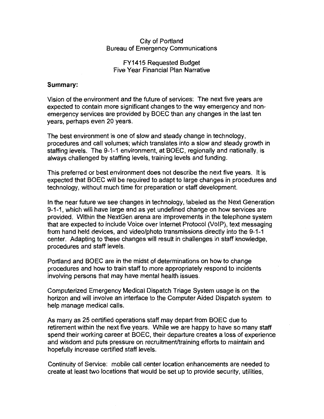# City of Portland Bureau of Emergency Communications

# FY1415 Requested Budget Five Year Financial Plan Narrative

# **Summary:**

Vision of the environment and the future of services: The next five years are expected to contain more significant changes to the way emergency and nonemergency services are provided by BOEC than any changes in the last ten years, perhaps even 20 years.

The best environment is one of slow and steady change in technology, procedures and call volumes; which translates into a slow and steady growth in staffing levels. The 9-1-1 environment, at BOEC, regionally and nationally, is always challenged by staffing levels, training levels and funding.

This preferred or best environment does not describe the next five years. It is expected that BOEC will be required to adapt to large changes in procedures and technology, without much time for preparation or staff development.

In the near future we see changes in technology, labeled as the Next Generation 9-1-1, which will have large and as yet undefined change on how services are provided. Within the NextGen arena are improvements in the telephone system that are expected to include Voice over Internet Protocol (VoiP), text messaging from hand held devices, and video/photo transmissions directly into the 9-1-1 center. Adapting to these changes will result in challenges in staff knowledge, procedures and staff levels.

Portland and BOEC are in the midst of determinations on how to change procedures and how to train staff to more appropriately respond to incidents involving persons that may have mental health issues.

Computerized Emergency Medical Dispatch Triage System usage is on the horizon and will involve an interface to the Computer Aided Dispatch system to help manage medical calls.

As many as 25 certified operations staff may depart from BOEC due to retirement within the next five years. While we are happy to have so many staff spend their working career at BOEC, their departure creates a loss of experience and wisdom and puts pressure on recruitment/training efforts to maintain and hopefully increase certified staff levels.

Continuity of Service: mobile call center location enhancements are needed to create at least two locations that would be set up to provide security, utilities,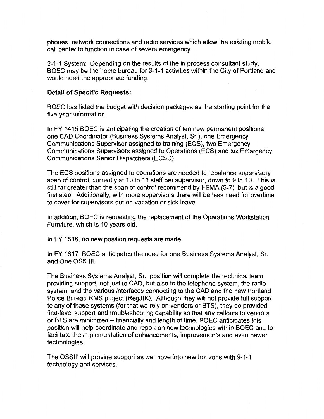phones, network connections and radio services which allow the existing mobile call center to function in case of severe emergency.

3-1-1 System: Depending on the results of the in process consultant study, BOEC may be the home bureau for 3-1-1 activities within the City of Portland and would need the appropriate funding.

### **Detail of Specific Requests:**

BOEC has listed the budget with decision packages as the starting point for the five-year information.

In FY 1415 BOEC is anticipating the creation of ten new permanent positions: one CAD Coordinator (Business Systems Analyst, Sr.), one Emergency Communications Supervisor assigned to training (ECS), two Emergency Communications Supervisors assigned to Operations (ECS) and six Emergency Communications Senior Dispatchers (ECSD).

The ECS positions assigned to operations are needed to rebalance supervisory span of control, currently at 10 to 11 staff per supervisor, down to 9 to 10. This is still far greater than the span of control recommend by FEMA (5-7), but is a good first step. Additionally, with more supervisors there will be less need for overtime to cover for supervisors out on vacation or sick leave.

In addition, BOEC is requesting the replacement of the Operations Workstation Furniture, which is 10 years old.

In FY 1516, no new position requests are made.

In FY 1617, BOEC anticipates the need for one Business Systems Analyst, Sr. and One OSS Ill.

The Business Systems Analyst, Sr. position will complete the technical team providing support, not just to CAD, but also to the telephone system, the radio system, and the various interfaces connecting to the CAD and the new Portland Police Bureau RMS project (RegJIN). Although they will not provide full support to any of these systems (for that we rely on vendors or BTS), they do provided first-level support and troubleshooting capability so that any callouts to vendors or BTS are minimized - financially and length of time. BOEC anticipates this position will help coordinate and report on new technologies within BOEC and to facilitate the implementation of enhancements, improvements and even newer technologies.

The OSSIII will provide support as we move into new horizons with 9-1-1 technology and services.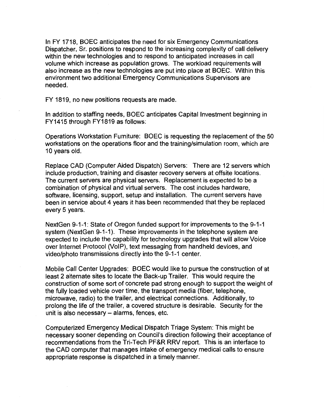In FY 1718, BOEC anticipates the need for six Emergency Communications Dispatcher, Sr. positions to respond to the increasing complexity of call delivery within the new technologies and to respond to anticipated increases in call volume which increase as population grows. The workload requirements will also increase as the new technologies are put into place at BOEC. Within this environment two additional Emergency Communications Supervisors are needed.

FY 1819, no new positions requests are made.

In addition to staffing needs, BOEC anticipates Capital Investment beginning in FY1415 through FY1819 as follows:

Operations Workstation Furniture: BOEC is requesting the replacement of the 50 workstations on the operations floor and the training/simulation room, which are 10 years old.

Replace CAD (Computer Aided Dispatch) Servers: There are 12 servers which include production, training and disaster recovery servers at offsite locations. The current servers are physical servers. Replacement is expected to be a combination of physical and virtual servers. The cost includes hardware, software, licensing, support, setup and installation. The current servers have been in service about 4 years it has been recommended that they be replaced every 5 years.

NextGen 9-1-1: State of Oregon funded support for improvements to the 9-1-1 system (NextGen 9-1-1). These improvements in the telephone system are expected to include the capability for technology upgrades that will allow Voice over Internet Protocol (VoiP), text messaging from handheld devices, and video/photo transmissions directly into the 9-1-1 center.

Mobile Call Center Upgrades: BOEC would like to pursue the construction of at least 2 alternate sites to locate the Back-up Trailer. This would require the construction of some sort of concrete pad strong enough to support the weight of the fully loaded vehicle over time, the transport media (fiber, telephone, microwave, radio) to the trailer, and electrical connections. Additionally, to prolong the life of the trailer, a covered structure is desirable. Security for the unit is also necessary  $-$  alarms, fences, etc.

Computerized Emergency Medical Dispatch Triage System: This might be necessary sooner depending on Council's direction following their acceptance of recommendations from the Tri-Tech PF&R RRV report. This is an interface to the CAD computer that manages intake of emergency medical calls to ensure appropriate response is dispatched in a timely manner.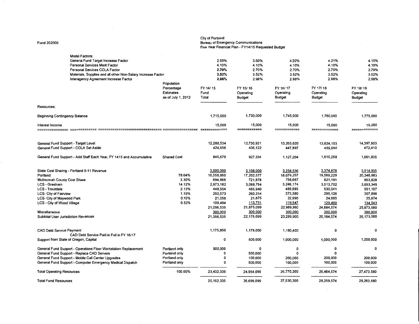# City of Portland Bureau of Emergency Communications Five Year Financial Plan- FY14/15 Requested Budget

| <b>Model Factors:</b><br>General Fund Target Increase Factor<br>Personal Services Merit Factor<br>Personal Services COLA Factor<br>Materials, Supplies and all other Non-Salary Increase Factor<br>Interagency Agreement Increase Factor | Population<br>Percentage<br><b>Estimates</b><br>as of July 1, 2012 | 2.50%<br>4.10%<br>2.70%<br>3.52%<br>2.98%<br>FY 14/15<br>Fund<br>Total | 3.60%<br>4.10%<br>2.70%<br>3.52%<br>2.98%<br>FY 15/16<br>Operating<br><b>Budget</b> | 4.20%<br>4.10%<br>2.70%<br>3.52%<br>2.98%<br>FY 16/17<br>Operating<br>Budget | 4.21%<br>4.10%<br>2.70%<br>3.52%<br>2.98%<br>FY 17/18<br>Operating<br>Budget | 4.15%<br>4.10%<br>2.70%<br>3.52%<br>2.98%<br>FY 18/19<br>Operating<br><b>Budget</b> |
|------------------------------------------------------------------------------------------------------------------------------------------------------------------------------------------------------------------------------------------|--------------------------------------------------------------------|------------------------------------------------------------------------|-------------------------------------------------------------------------------------|------------------------------------------------------------------------------|------------------------------------------------------------------------------|-------------------------------------------------------------------------------------|
| Resources:                                                                                                                                                                                                                               |                                                                    |                                                                        |                                                                                     |                                                                              |                                                                              |                                                                                     |
| <b>Beginning Contingency Balance</b>                                                                                                                                                                                                     |                                                                    | 1,715,000                                                              | 1,730,000                                                                           | 1,745,000                                                                    | 1,760,000                                                                    | 1,775,000                                                                           |
| Interest Income                                                                                                                                                                                                                          |                                                                    | 15,000                                                                 | 15,000<br>============                                                              | 15,000<br>============                                                       | 15,000<br><b>*************</b>                                               | 15,000<br>225222232333                                                              |
|                                                                                                                                                                                                                                          |                                                                    |                                                                        |                                                                                     |                                                                              |                                                                              |                                                                                     |
| General Fund Support - Target Level                                                                                                                                                                                                      |                                                                    | 12,288,534                                                             | 12.730.921                                                                          | 13,265,620                                                                   | 13,824,103                                                                   | 14,397,803                                                                          |
| General Fund Support - COLA Set Aside                                                                                                                                                                                                    |                                                                    | 424,656                                                                | 436,122                                                                             | 447,897                                                                      | 459,990                                                                      | 472,410                                                                             |
| General Fund Support - Add Staff Each Year, FY 1415 and Accumulative                                                                                                                                                                     | <b>Shared Cost</b>                                                 | 845,670                                                                | 927,534                                                                             | 1,127,204                                                                    | 1,910,258                                                                    | 1,961,835                                                                           |
| State Cost Sharing - Portland 9-11 Revenue                                                                                                                                                                                               |                                                                    | 3,000,000                                                              | 3,108,000                                                                           | 3,238,536                                                                    | 3,374,878                                                                    | 3,514,935                                                                           |
| Portland                                                                                                                                                                                                                                 | 78.64%                                                             | 16,558,860                                                             | 17,202,577                                                                          | 18,079,257                                                                   | 19,569,229                                                                   | 20,346,983                                                                          |
| Multnomah County Cost Share                                                                                                                                                                                                              | 3.30%<br>14.12%                                                    | 694,866<br>2,973,182                                                   | 721,878<br>3,088,764                                                                | 758,667<br>3,246,174                                                         | 821,191<br>3,513,702                                                         | 853,828<br>3,653,349                                                                |
| LCS - Gresham<br><b>LCS - Troutdale</b>                                                                                                                                                                                                  | 2.13%                                                              | 448,504                                                                | 465,940                                                                             | 489,685                                                                      | 530,041                                                                      | 551,107                                                                             |
| LCS- City of Fairview                                                                                                                                                                                                                    | 1.19%                                                              | 250,573                                                                | 260,314                                                                             | 273,580                                                                      | 296,126                                                                      | 307,896                                                                             |
| LCS- City of Maywood Park                                                                                                                                                                                                                | 0.10%                                                              | 21,056                                                                 | 21,875                                                                              | 22,990                                                                       | 24,885                                                                       | 25,874                                                                              |
| LCS - City of Wood Village                                                                                                                                                                                                               | 0.52%                                                              | 109,494                                                                | 113,751                                                                             | 119,547                                                                      | 129,400                                                                      | 134,543                                                                             |
|                                                                                                                                                                                                                                          |                                                                    | 21,056,535                                                             | 21,875,099                                                                          | 22,989,900                                                                   | 24,884,574                                                                   | 25.873,580                                                                          |
| Miscellaneous                                                                                                                                                                                                                            |                                                                    | 300,000                                                                | 300,000                                                                             | 300,000                                                                      | 300,000                                                                      | 300,000                                                                             |
| <b>Subtotal User Jurisdiction Revenues</b>                                                                                                                                                                                               |                                                                    | 21,356,535                                                             | 22,175,099                                                                          | 23,289,900                                                                   | 25, 184, 574                                                                 | 26,173,580                                                                          |
| <b>CAD Debt Service Payment</b>                                                                                                                                                                                                          |                                                                    | 1,175,800                                                              | 1,179,000                                                                           | 1,180,400                                                                    | 0                                                                            | 0                                                                                   |
| CAD Debt Service Paid in Full in FY 16/17<br>Support from State of Oregon, Capital                                                                                                                                                       |                                                                    | 0                                                                      | 500,000                                                                             | 1,000,000                                                                    | 1,000,000                                                                    | 1,000,000                                                                           |
|                                                                                                                                                                                                                                          |                                                                    |                                                                        |                                                                                     |                                                                              |                                                                              |                                                                                     |
| General Fund Support - Operations Floor Workstation Replacement                                                                                                                                                                          | Portland only                                                      | 900,000                                                                | $\Omega$                                                                            | 0                                                                            | 0                                                                            | 0                                                                                   |
| General Fund Support - Replace CAD Servers                                                                                                                                                                                               | Portland only                                                      | 0                                                                      | 500,000                                                                             | 0                                                                            | $\Omega$                                                                     |                                                                                     |
| General Fund Support - Mobile Call Center Upgrades                                                                                                                                                                                       | Portland only                                                      | 0                                                                      | 100,000                                                                             | 200,000                                                                      | 200,000                                                                      | 200,000                                                                             |
| General Fund Support - Computer Emergency Medical Dispatch                                                                                                                                                                               | Portland only                                                      | 0                                                                      | 500,000                                                                             | 100,000                                                                      | 100,000                                                                      | 100,000                                                                             |
| <b>Total Operating Resources</b>                                                                                                                                                                                                         | 100.00%                                                            | 23,432,335                                                             | 24,954,099                                                                          | 25,770,300                                                                   | 26,484,574                                                                   | 27,473,580                                                                          |
| <b>Total Fund Resources</b>                                                                                                                                                                                                              |                                                                    | 25, 162, 335                                                           | 26,699,099                                                                          | 27,530,300                                                                   | 28.259.574                                                                   | 29,263,580                                                                          |

Fund 202000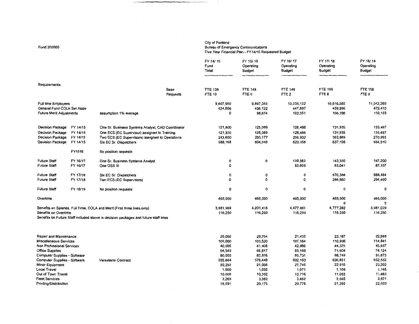| City of Portland                                    |
|-----------------------------------------------------|
| <b>Bureau of Emergency Communications</b>           |
| Five Year Financial Plan - FY14/15 Requested Budget |

|                                                                                                                    |          |                                                   |                 | FY 14/15<br>Fund<br><b>Total</b> | FY 15/16<br>Operating<br>Budget    | FY 16/17<br>Operating<br>Budget    | FY 17/18<br>Operating<br>Budget    | FY 18/19<br>Operating<br>Budget |
|--------------------------------------------------------------------------------------------------------------------|----------|---------------------------------------------------|-----------------|----------------------------------|------------------------------------|------------------------------------|------------------------------------|---------------------------------|
| Requirements:                                                                                                      |          |                                                   |                 |                                  |                                    |                                    |                                    |                                 |
|                                                                                                                    |          | Base                                              | <b>Requests</b> | <b>FTE 138</b><br><b>FTE 10</b>  | <b>FTE 148</b><br>FTE <sub>0</sub> | <b>FTE 148</b><br>FTE <sub>2</sub> | <b>FTE 150</b><br>FTE <sub>8</sub> | <b>FTE 158</b><br>FTE 0         |
| Full time Employees                                                                                                |          |                                                   |                 | 9,607,950                        | 9,867,365                          | 10,235,122                         | 10,616,585                         | 11,012,265                      |
| General Fund COLA Set Aside                                                                                        |          |                                                   |                 | 424,656                          | 436,122                            | 447,897                            | 459,990                            | 472,410                         |
| <b>Future Merit Adjustments</b>                                                                                    |          | assumption 1% average                             |                 | 0                                | 98,674                             | 102,351                            | 106,166                            | 110,123                         |
| Decision Package                                                                                                   | FY 14/15 | One Sr. Business Systems Analyst, CAD Coordinator |                 | 121,800                          | 125,089                            | 128,466                            | 131,935                            | 135,497                         |
| Decision Package                                                                                                   | FY 14/15 | One ECS (EC Supervisor) assigned to Training      |                 | 121,800                          | 125,089                            | 128,466                            | 131,935                            | 135,497                         |
| Decision Package                                                                                                   | FY 14/15 | Two ECS (EC Supervisors) assigned to Operations   |                 | 243,600                          | 250,177                            | 256,932                            | 263.869                            | 270,993                         |
| Decision Package                                                                                                   | FY 14/15 | Six EC Sr. Dispatchers                            |                 | 588,168                          | 604,049                            | 620,358                            | 637,108                            | 654,310                         |
|                                                                                                                    | FY1516   | No position requests                              |                 |                                  |                                    |                                    |                                    |                                 |
| <b>Future Staff</b>                                                                                                | FY 16/17 | One Sr. Business Systems Analyst                  |                 | 0                                | 0                                  | 139,562                            | 143,330                            | 147,200                         |
| <b>Future Staff</b>                                                                                                | FY 16/17 | One OSS III                                       |                 | 0                                |                                    | 82,805                             | 85,041                             | 87,337                          |
|                                                                                                                    |          |                                                   |                 |                                  |                                    |                                    |                                    |                                 |
| <b>Future Staff</b>                                                                                                | FY 17/18 | Six EC Sr. Dispatchers                            |                 | 0                                | 0                                  | 0                                  | 670,384                            | 688.484                         |
| <b>Future Staff</b>                                                                                                | FY 17/18 | Two ECS (EC Supervisors)                          |                 | 0                                | 0                                  | 0                                  | 286,660                            | 294,400                         |
| <b>Future Staff</b>                                                                                                | FY 18/19 | No position requests                              |                 | 0                                | $\circ$                            | 0                                  | 0                                  | 0                               |
| Overtime                                                                                                           |          |                                                   |                 | 465,000                          | 465,000                            | 465,000                            | 465,000                            | 465,000.                        |
|                                                                                                                    |          |                                                   |                 |                                  |                                    |                                    | $\Omega$                           | 0                               |
| Benefits on Salaries, Full Time, COLA and Merit (First three lines only)                                           |          |                                                   |                 | 3,981,969                        | 4,201,416                          | 4,477,881                          | 4,777,282                          | 5,081,029                       |
| <b>Benefits on Overtime</b><br>Benefits on Future Staff included above in decision packages and future staff lines |          |                                                   |                 | 116,250                          | 116,250                            | 116,250                            | 116,250                            | 116,250                         |
|                                                                                                                    |          |                                                   |                 |                                  |                                    |                                    |                                    |                                 |
| <b>Repair and Maintenance</b>                                                                                      |          |                                                   |                 | 20,000                           | 20,704                             | 21,433                             | 22,187                             | 22,968                          |
| Miscellaneous Services                                                                                             |          |                                                   |                 | 100,000                          | 103,520                            | 107,164                            | 110,936                            | 114,841                         |
| Non Professional Services                                                                                          |          |                                                   |                 | 40,000                           | 41,408                             | 42,866                             | 44,375                             | 45,937                          |
| <b>Office Supplies</b>                                                                                             |          |                                                   | 64,545          | 66,817                           | 69,169                             | 71,604                             | 74,124                             |                                 |
| <b>Computer Supplies - Software</b>                                                                                |          |                                                   | 80,000          | 82,816                           | 85,731                             | 88,749                             | 91,873                             |                                 |
| Computer Supplies - Software                                                                                       |          | <b>Versaterm Contract</b>                         |                 | 555,664                          | 578,446                            | 602,163                            | 626,851                            | 652,552                         |
| <b>Minor Equipment</b>                                                                                             |          |                                                   |                 | 20.292                           | 21,006                             | 21,745                             | 22,510                             | 23,302                          |
| <b>Local Travel</b><br>Out of Town Travel                                                                          |          |                                                   |                 | 1,000                            | 1,035                              | 1,071                              | 1,109                              | 1,148                           |
| <b>Fleet Services</b>                                                                                              |          |                                                   |                 | 10,000                           | 10,352                             | 10,716                             | 11,093                             | 11,483                          |
| Printing/Distribution                                                                                              |          |                                                   |                 | 3,265<br>19,591                  | 3,362<br>20,175                    | 3,462<br>20,776                    | 3,565<br>21,395                    | 3,671<br>22,033                 |
|                                                                                                                    |          |                                                   |                 |                                  |                                    |                                    |                                    |                                 |

Fund 202000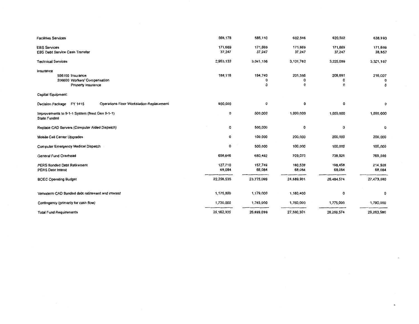| <b>Facilities Services</b>                                                          | 568,178           | 585,110           | 602,546           | 620,502           | 638,993           |
|-------------------------------------------------------------------------------------|-------------------|-------------------|-------------------|-------------------|-------------------|
| <b>EBS Services</b><br><b>EBS Debt Service Cash Transfer</b>                        | 171,669<br>37,247 | 171,669<br>37,247 | 171,669<br>37,247 | 171,669<br>37.247 | 171,669<br>38,357 |
| <b>Technical Services</b>                                                           | 2,953,133         | 3,041,136         | 3,131,762         | 3,225,089         | 3,321,197         |
| Insurance<br>556100 Insurance<br>556600 Workers' Compensation<br>Property Insurance | 188,118           | 194,740<br>0<br>0 | 201,595<br>0<br>0 | 208,691<br>0<br>0 | 216,037<br>0<br>0 |
| Capital Equipment:                                                                  |                   |                   |                   |                   |                   |
| Operations Floor Workstation Replacement<br>FY 1415<br>Decision Package             | 900,000           | 0                 | 0                 | 0                 | 0                 |
| Improvements to 9-1-1 System (Next Gen 9-1-1)<br><b>State Funded</b>                | 0                 | 500,000           | 1,000,000         | 1,000,000         | 1,000,000         |
| Replace CAD Servers (Computer Aided Dispatch)                                       | 0                 | 500,000           | 0                 | 0                 | 0                 |
| Mobile Call Center Upgrades                                                         | 0                 | 100,000           | 200,000           | 200,000           | 200,000           |
| Computer Emergency Medical Dispatch                                                 | 0                 | 500,000           | 100,000           | 100,000           | 100,000           |
| General Fund Overhead                                                               | 656,846           | 680,492           | 709,073           | 738,925           | 769,590           |
| PERS Bonded Debt Retirement<br><b>PERS Debt Interst</b>                             | 127,710<br>68,084 | 157,749<br>68,084 | 180,539<br>68,084 | 198,458<br>68,084 | 214,926<br>68,084 |
| <b>BOEC Operating Budget</b>                                                        | 22,256,535        | 23,775,099        | 24,589,901        | 26,484,574        | 27,473,580        |
| Versaterm CAD Bonded debt retirement and interest                                   | 1,175,800         | 1,179,000         | 1,180,400         | 0                 | 0                 |
| Contingency (primarily for cash flow)                                               | 1,730,000         | 1,745,000         | 1,760,000         | 1,775,000         | 1,790,000         |
| <b>Total Fund Requirements</b>                                                      | 25, 162, 335      | 26,699.099        | 27,530,301        | 28 259 574        | 29,263,580        |